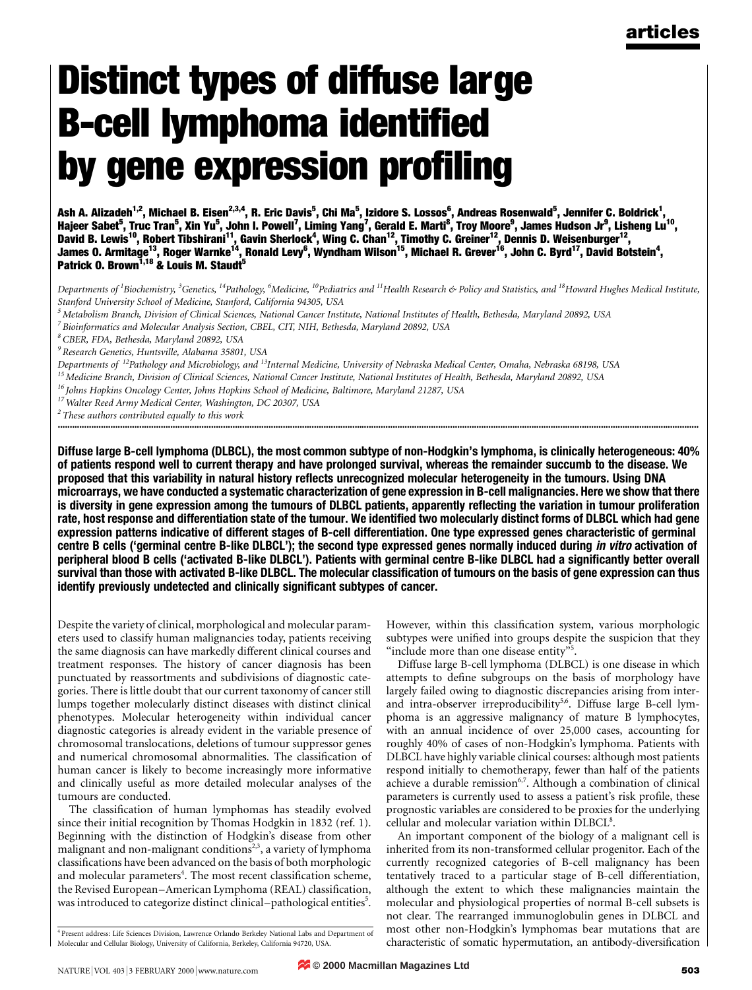# Distinct types of diffuse large **B-cell lymphoma identified** by gene expression profiling

Ash A. Alizadeh<sup>1,2</sup>, Michael B. Eisen<sup>2,3,4</sup>, R. Eric Davis<sup>5</sup>, Chi Ma<sup>5</sup>, Izidore S. Lossos<sup>6</sup>, Andreas Rosenwald<sup>5</sup>, Jennifer C. Boldrick<sup>1</sup>, Hajeer Sabet<sup>5</sup>, Truc Tran<sup>5</sup>, Xin Yu<sup>5</sup>, John I. Powell<sup>7</sup>, Liming Yang<sup>7</sup>, Gerald E. Marti<sup>8</sup>, Troy Moore<sup>9</sup>, James Hudson Jr<sup>9</sup>, Lisheng Lu<sup>10</sup>, David B. Lewis<sup>10</sup>, Robert Tibshirani<sup>11</sup>, Gavin Sherlock<sup>4</sup>, Wing C. Chan<sup>12</sup>, Timothy C. Greiner<sup>12</sup>, Dennis D. Weisenburger<sup>12</sup>, James O. Armitage<sup>13</sup>, Roger Warnke<sup>14</sup>, Ronald Levy<sup>6</sup>, Wyndham Wilson<sup>15</sup>, Michael R. Grever<sup>16</sup>, John C. Byrd<sup>17</sup>, David Botstein<sup>4</sup>, Patrick O. Brown<sup>1,18</sup> & Louis M. Staudt<sup>5</sup>

Departments of <sup>1</sup>Biochemistry, <sup>3</sup>Genetics, <sup>14</sup>Pathology, <sup>6</sup>Medicine, <sup>10</sup>Pediatrics and <sup>11</sup>Health Research & Policy and Statistics, and <sup>18</sup>Howard Hughes Medical Institute, Stanford University School of Medicine, Stanford, California 94305, USA

 $5$ Metabolism Branch, Division of Clinical Sciences, National Cancer Institute, National Institutes of Health, Bethesda, Maryland 20892, USA

<sup>7</sup> Bioinformatics and Molecular Analysis Section, CBEL, CIT, NIH, Bethesda, Maryland 20892, USA

<sup>8</sup> CBER, FDA, Bethesda, Maryland 20892, USA

<sup>9</sup> Research Genetics, Huntsville, Alabama 35801, USA

Departments of <sup>12</sup>Pathology and Microbiology, and <sup>13</sup>Internal Medicine, University of Nebraska Medical Center, Omaha, Nebraska 68198, USA

<sup>15</sup> Medicine Branch, Division of Clinical Sciences, National Cancer Institute, National Institutes of Health, Bethesda, Maryland 20892, USA

<sup>16</sup> Johns Hopkins Oncology Center, Johns Hopkins School of Medicine, Baltimore, Maryland 21287, USA

<sup>17</sup> Walter Reed Army Medical Center, Washington, DC 20307, USA

 $2$  These authors contributed equally to this work ............................................................................................................................................................................................................................................................................

Diffuse large B-cell lymphoma (DLBCL), the most common subtype of non-Hodgkin's lymphoma, is clinically heterogeneous: 40% of patients respond well to current therapy and have prolonged survival, whereas the remainder succumb to the disease. We proposed that this variability in natural history reflects unrecognized molecular heterogeneity in the tumours. Using DNA microarrays, we have conducted a systematic characterization of gene expression in B-cell malignancies. Here we show that there is diversity in gene expression among the tumours of DLBCL patients, apparently reflecting the variation in tumour proliferation rate, host response and differentiation state of the tumour. We identified two molecularly distinct forms of DLBCL which had gene expression patterns indicative of different stages of B-cell differentiation. One type expressed genes characteristic of germinal centre B cells ('germinal centre B-like DLBCL'); the second type expressed genes normally induced during in vitro activation of peripheral blood B cells ('activated B-like DLBCL'). Patients with germinal centre B-like DLBCL had a significantly better overall survival than those with activated B-like DLBCL. The molecular classification of tumours on the basis of gene expression can thus identify previously undetected and clinically significant subtypes of cancer.

Despite the variety of clinical, morphological and molecular parameters used to classify human malignancies today, patients receiving the same diagnosis can have markedly different clinical courses and treatment responses. The history of cancer diagnosis has been punctuated by reassortments and subdivisions of diagnostic categories. There is little doubt that our current taxonomy of cancer still lumps together molecularly distinct diseases with distinct clinical phenotypes. Molecular heterogeneity within individual cancer diagnostic categories is already evident in the variable presence of chromosomal translocations, deletions of tumour suppressor genes and numerical chromosomal abnormalities. The classification of human cancer is likely to become increasingly more informative and clinically useful as more detailed molecular analyses of the tumours are conducted.

The classification of human lymphomas has steadily evolved since their initial recognition by Thomas Hodgkin in 1832 (ref. 1). Beginning with the distinction of Hodgkin's disease from other malignant and non-malignant conditions<sup>2,3</sup>, a variety of lymphoma classifications have been advanced on the basis of both morphologic and molecular parameters<sup>4</sup>. The most recent classification scheme, the Revised European–American Lymphoma (REAL) classification, was introduced to categorize distinct clinical-pathological entities<sup>5</sup>.

However, within this classification system, various morphologic subtypes were unified into groups despite the suspicion that they "include more than one disease entity"<sup>5</sup>.

Diffuse large B-cell lymphoma (DLBCL) is one disease in which attempts to define subgroups on the basis of morphology have largely failed owing to diagnostic discrepancies arising from interand intra-observer irreproducibility<sup>5,6</sup>. Diffuse large B-cell lymphoma is an aggressive malignancy of mature B lymphocytes, with an annual incidence of over 25,000 cases, accounting for roughly 40% of cases of non-Hodgkin's lymphoma. Patients with DLBCL have highly variable clinical courses: although most patients respond initially to chemotherapy, fewer than half of the patients achieve a durable remission<sup>6,7</sup>. Although a combination of clinical parameters is currently used to assess a patient's risk profile, these prognostic variables are considered to be proxies for the underlying cellular and molecular variation within DLBCL<sup>8</sup>.

An important component of the biology of a malignant cell is inherited from its non-transformed cellular progenitor. Each of the currently recognized categories of B-cell malignancy has been tentatively traced to a particular stage of B-cell differentiation, although the extent to which these malignancies maintain the molecular and physiological properties of normal B-cell subsets is not clear. The rearranged immunoglobulin genes in DLBCL and most other non-Hodgkin's lymphomas bear mutations that are characteristic of somatic hypermutation, an antibody-diversification

<sup>4</sup> Present address: Life Sciences Division, Lawrence Orlando Berkeley National Labs and Department of Molecular and Cellular Biology, University of California, Berkeley, California 94720, USA.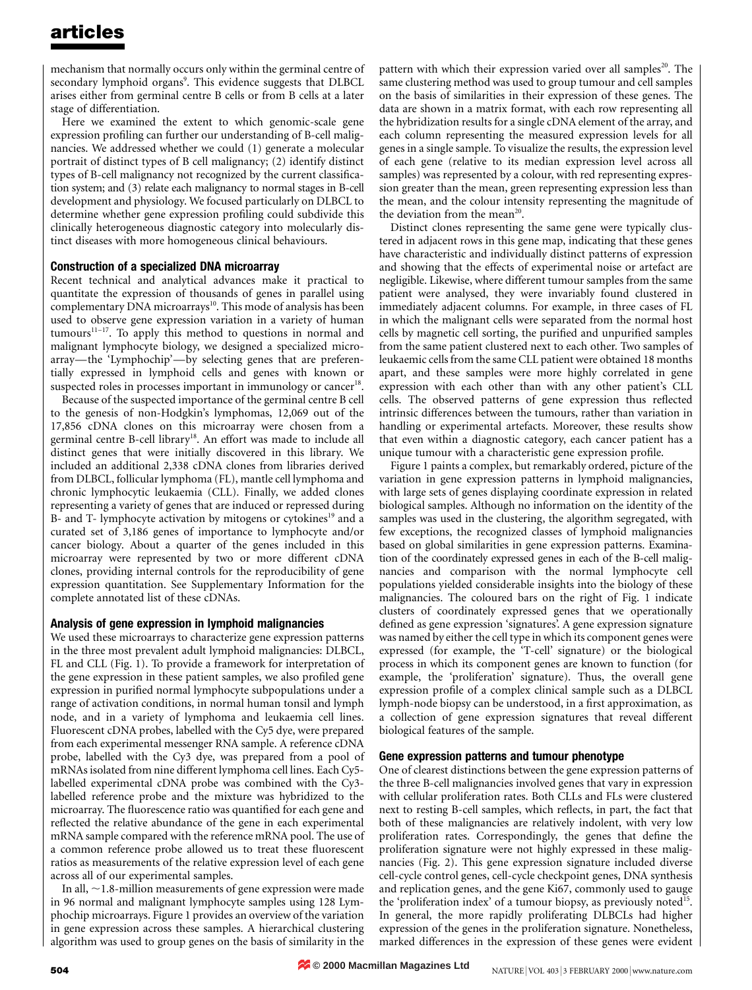mechanism that normally occurs only within the germinal centre of secondary lymphoid organs<sup>9</sup>. This evidence suggests that DLBCL arises either from germinal centre B cells or from B cells at a later stage of differentiation.

Here we examined the extent to which genomic-scale gene expression profiling can further our understanding of B-cell malignancies. We addressed whether we could (1) generate a molecular portrait of distinct types of B cell malignancy; (2) identify distinct types of B-cell malignancy not recognized by the current classification system; and (3) relate each malignancy to normal stages in B-cell development and physiology. We focused particularly on DLBCL to determine whether gene expression profiling could subdivide this clinically heterogeneous diagnostic category into molecularly distinct diseases with more homogeneous clinical behaviours.

### Construction of a specialized DNA microarray

Recent technical and analytical advances make it practical to quantitate the expression of thousands of genes in parallel using complementary DNA microarrays<sup>10</sup>. This mode of analysis has been used to observe gene expression variation in a variety of human  $tumours<sup>11-17</sup>$ . To apply this method to questions in normal and malignant lymphocyte biology, we designed a specialized microarray—the 'Lymphochip'—by selecting genes that are preferentially expressed in lymphoid cells and genes with known or suspected roles in processes important in immunology or cancer<sup>18</sup>.

Because of the suspected importance of the germinal centre B cell to the genesis of non-Hodgkin's lymphomas, 12,069 out of the 17,856 cDNA clones on this microarray were chosen from a germinal centre B-cell library<sup>18</sup>. An effort was made to include all distinct genes that were initially discovered in this library. We included an additional 2,338 cDNA clones from libraries derived from DLBCL, follicular lymphoma (FL), mantle cell lymphoma and chronic lymphocytic leukaemia (CLL). Finally, we added clones representing a variety of genes that are induced or repressed during B- and T- lymphocyte activation by mitogens or cytokines<sup>19</sup> and a curated set of 3,186 genes of importance to lymphocyte and/or cancer biology. About a quarter of the genes included in this microarray were represented by two or more different cDNA clones, providing internal controls for the reproducibility of gene expression quantitation. See Supplementary Information for the complete annotated list of these cDNAs.

### Analysis of gene expression in lymphoid malignancies

We used these microarrays to characterize gene expression patterns in the three most prevalent adult lymphoid malignancies: DLBCL, FL and CLL (Fig. 1). To provide a framework for interpretation of the gene expression in these patient samples, we also profiled gene expression in purified normal lymphocyte subpopulations under a range of activation conditions, in normal human tonsil and lymph node, and in a variety of lymphoma and leukaemia cell lines. Fluorescent cDNA probes, labelled with the Cy5 dye, were prepared from each experimental messenger RNA sample. A reference cDNA probe, labelled with the Cy3 dye, was prepared from a pool of mRNAs isolated from nine different lymphoma cell lines. Each Cy5 labelled experimental cDNA probe was combined with the Cy3 labelled reference probe and the mixture was hybridized to the microarray. The fluorescence ratio was quantified for each gene and reflected the relative abundance of the gene in each experimental mRNA sample compared with the reference mRNA pool. The use of a common reference probe allowed us to treat these fluorescent ratios as measurements of the relative expression level of each gene across all of our experimental samples.

In all,  $\sim$ 1.8-million measurements of gene expression were made in 96 normal and malignant lymphocyte samples using 128 Lymphochip microarrays. Figure 1 provides an overview of the variation in gene expression across these samples. A hierarchical clustering algorithm was used to group genes on the basis of similarity in the

pattern with which their expression varied over all samples<sup>20</sup>. The same clustering method was used to group tumour and cell samples on the basis of similarities in their expression of these genes. The data are shown in a matrix format, with each row representing all the hybridization results for a single cDNA element of the array, and each column representing the measured expression levels for all genes in a single sample. To visualize the results, the expression level of each gene (relative to its median expression level across all samples) was represented by a colour, with red representing expression greater than the mean, green representing expression less than the mean, and the colour intensity representing the magnitude of the deviation from the mean<sup>20</sup>.

Distinct clones representing the same gene were typically clustered in adjacent rows in this gene map, indicating that these genes have characteristic and individually distinct patterns of expression and showing that the effects of experimental noise or artefact are negligible. Likewise, where different tumour samples from the same patient were analysed, they were invariably found clustered in immediately adjacent columns. For example, in three cases of FL in which the malignant cells were separated from the normal host cells by magnetic cell sorting, the purified and unpurified samples from the same patient clustered next to each other. Two samples of leukaemic cells from the same CLL patient were obtained 18 months apart, and these samples were more highly correlated in gene expression with each other than with any other patient's CLL cells. The observed patterns of gene expression thus reflected intrinsic differences between the tumours, rather than variation in handling or experimental artefacts. Moreover, these results show that even within a diagnostic category, each cancer patient has a unique tumour with a characteristic gene expression profile.

Figure 1 paints a complex, but remarkably ordered, picture of the variation in gene expression patterns in lymphoid malignancies, with large sets of genes displaying coordinate expression in related biological samples. Although no information on the identity of the samples was used in the clustering, the algorithm segregated, with few exceptions, the recognized classes of lymphoid malignancies based on global similarities in gene expression patterns. Examination of the coordinately expressed genes in each of the B-cell malignancies and comparison with the normal lymphocyte cell populations yielded considerable insights into the biology of these malignancies. The coloured bars on the right of Fig. 1 indicate clusters of coordinately expressed genes that we operationally defined as gene expression 'signatures'. A gene expression signature was named by either the cell type in which its component genes were expressed (for example, the `T-cell' signature) or the biological process in which its component genes are known to function (for example, the `proliferation' signature). Thus, the overall gene expression profile of a complex clinical sample such as a DLBCL lymph-node biopsy can be understood, in a first approximation, as a collection of gene expression signatures that reveal different biological features of the sample.

### Gene expression patterns and tumour phenotype

One of clearest distinctions between the gene expression patterns of the three B-cell malignancies involved genes that vary in expression with cellular proliferation rates. Both CLLs and FLs were clustered next to resting B-cell samples, which reflects, in part, the fact that both of these malignancies are relatively indolent, with very low proliferation rates. Correspondingly, the genes that define the proliferation signature were not highly expressed in these malignancies (Fig. 2). This gene expression signature included diverse cell-cycle control genes, cell-cycle checkpoint genes, DNA synthesis and replication genes, and the gene Ki67, commonly used to gauge the 'proliferation index' of a tumour biopsy, as previously noted<sup>15</sup>. In general, the more rapidly proliferating DLBCLs had higher expression of the genes in the proliferation signature. Nonetheless, marked differences in the expression of these genes were evident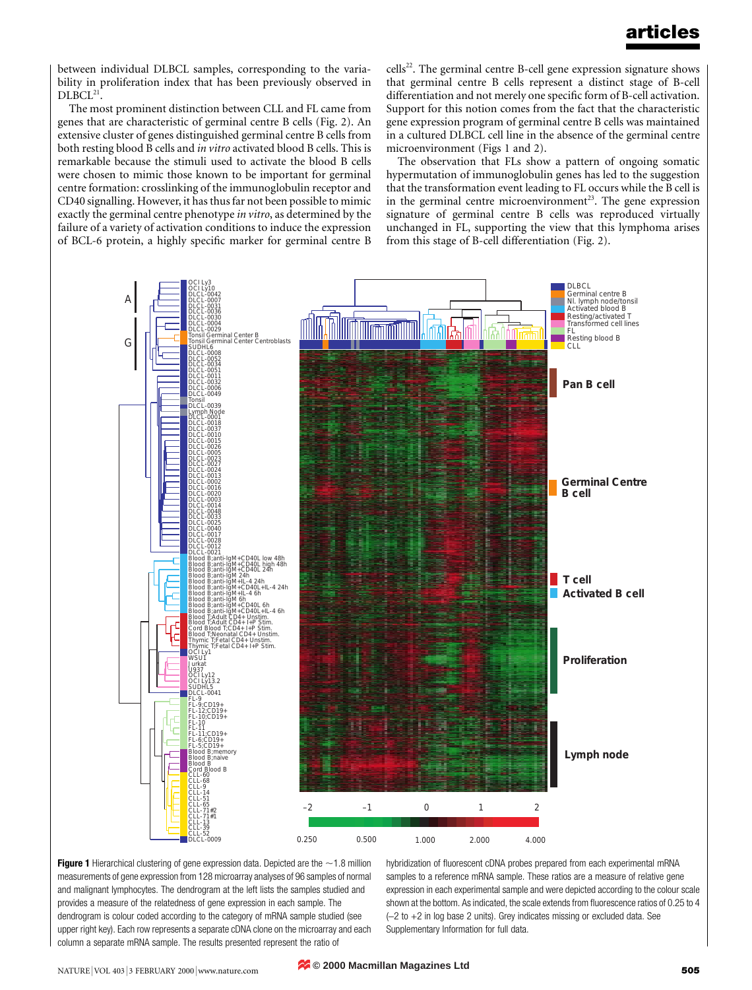between individual DLBCL samples, corresponding to the variability in proliferation index that has been previously observed in  $DLBCL<sup>21</sup>$ .

The most prominent distinction between CLL and FL came from genes that are characteristic of germinal centre B cells (Fig. 2). An extensive cluster of genes distinguished germinal centre B cells from both resting blood B cells and in vitro activated blood B cells. This is remarkable because the stimuli used to activate the blood B cells were chosen to mimic those known to be important for germinal centre formation: crosslinking of the immunoglobulin receptor and CD40 signalling. However, it has thus far not been possible to mimic exactly the germinal centre phenotype in vitro, as determined by the failure of a variety of activation conditions to induce the expression of BCL-6 protein, a highly specific marker for germinal centre B cells<sup>22</sup>. The germinal centre B-cell gene expression signature shows that germinal centre B cells represent a distinct stage of B-cell differentiation and not merely one specific form of B-cell activation. Support for this notion comes from the fact that the characteristic gene expression program of germinal centre B cells was maintained in a cultured DLBCL cell line in the absence of the germinal centre microenvironment (Figs 1 and 2).

The observation that FLs show a pattern of ongoing somatic hypermutation of immunoglobulin genes has led to the suggestion that the transformation event leading to FL occurs while the B cell is in the germinal centre microenvironment<sup>23</sup>. The gene expression signature of germinal centre B cells was reproduced virtually unchanged in FL, supporting the view that this lymphoma arises from this stage of B-cell differentiation (Fig. 2).



Figure 1 Hierarchical clustering of gene expression data. Depicted are the  $\sim$  1.8 million measurements of gene expression from 128 microarray analyses of 96 samples of normal and malignant lymphocytes. The dendrogram at the left lists the samples studied and provides a measure of the relatedness of gene expression in each sample. The dendrogram is colour coded according to the category of mRNA sample studied (see upper right key). Each row represents a separate cDNA clone on the microarray and each column a separate mRNA sample. The results presented represent the ratio of

hybridization of fluorescent cDNA probes prepared from each experimental mRNA samples to a reference mRNA sample. These ratios are a measure of relative gene expression in each experimental sample and were depicted according to the colour scale shown at the bottom. As indicated, the scale extends from fluorescence ratios of 0.25 to 4  $(-2$  to  $+2$  in log base 2 units). Grey indicates missing or excluded data. See Supplementary Information for full data.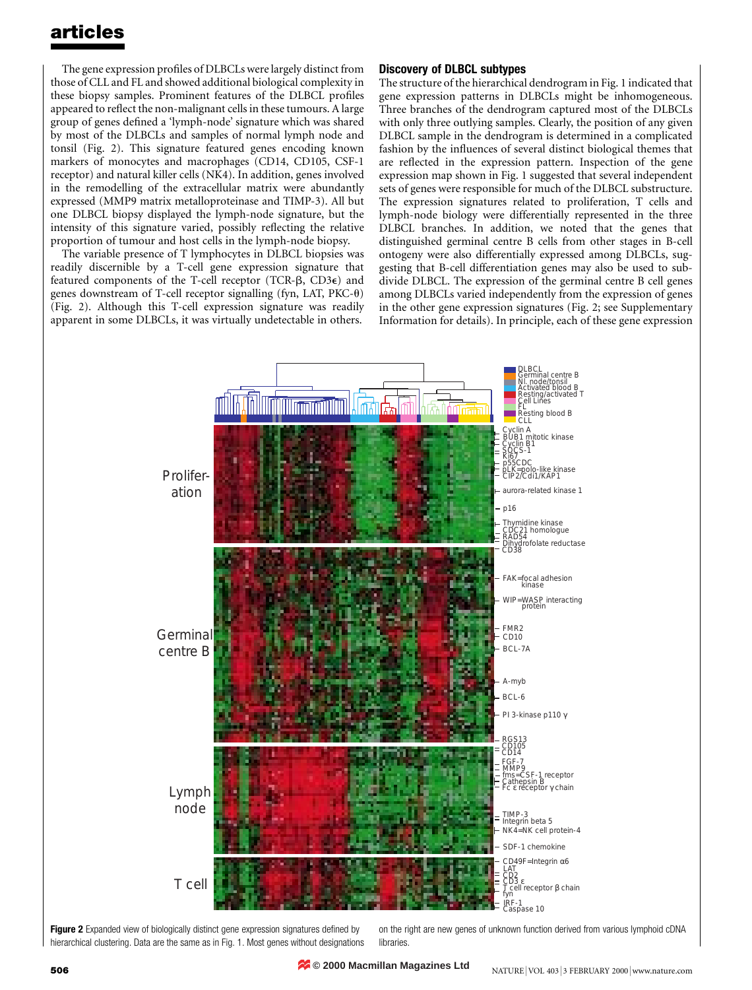The gene expression profiles of DLBCLs were largely distinct from those of CLL and FL and showed additional biological complexity in these biopsy samples. Prominent features of the DLBCL profiles appeared to reflect the non-malignant cells in these tumours. A large group of genes defined a 'lymph-node' signature which was shared by most of the DLBCLs and samples of normal lymph node and tonsil (Fig. 2). This signature featured genes encoding known markers of monocytes and macrophages (CD14, CD105, CSF-1 receptor) and natural killer cells (NK4). In addition, genes involved in the remodelling of the extracellular matrix were abundantly expressed (MMP9 matrix metalloproteinase and TIMP-3). All but one DLBCL biopsy displayed the lymph-node signature, but the intensity of this signature varied, possibly reflecting the relative proportion of tumour and host cells in the lymph-node biopsy.

The variable presence of T lymphocytes in DLBCL biopsies was readily discernible by a T-cell gene expression signature that featured components of the T-cell receptor (TCR- $\beta$ , CD3 $\epsilon$ ) and genes downstream of T-cell receptor signalling (fyn, LAT, PKC- $\theta$ ) (Fig. 2). Although this T-cell expression signature was readily apparent in some DLBCLs, it was virtually undetectable in others.

### Discovery of DLBCL subtypes

The structure of the hierarchical dendrogram in Fig. 1 indicated that gene expression patterns in DLBCLs might be inhomogeneous. Three branches of the dendrogram captured most of the DLBCLs with only three outlying samples. Clearly, the position of any given DLBCL sample in the dendrogram is determined in a complicated fashion by the influences of several distinct biological themes that are reflected in the expression pattern. Inspection of the gene expression map shown in Fig. 1 suggested that several independent sets of genes were responsible for much of the DLBCL substructure. The expression signatures related to proliferation, T cells and lymph-node biology were differentially represented in the three DLBCL branches. In addition, we noted that the genes that distinguished germinal centre B cells from other stages in B-cell ontogeny were also differentially expressed among DLBCLs, suggesting that B-cell differentiation genes may also be used to subdivide DLBCL. The expression of the germinal centre B cell genes among DLBCLs varied independently from the expression of genes in the other gene expression signatures (Fig. 2; see Supplementary Information for details). In principle, each of these gene expression



Figure 2 Expanded view of biologically distinct gene expression signatures defined by hierarchical clustering. Data are the same as in Fig. 1. Most genes without designations on the right are new genes of unknown function derived from various lymphoid cDNA libraries.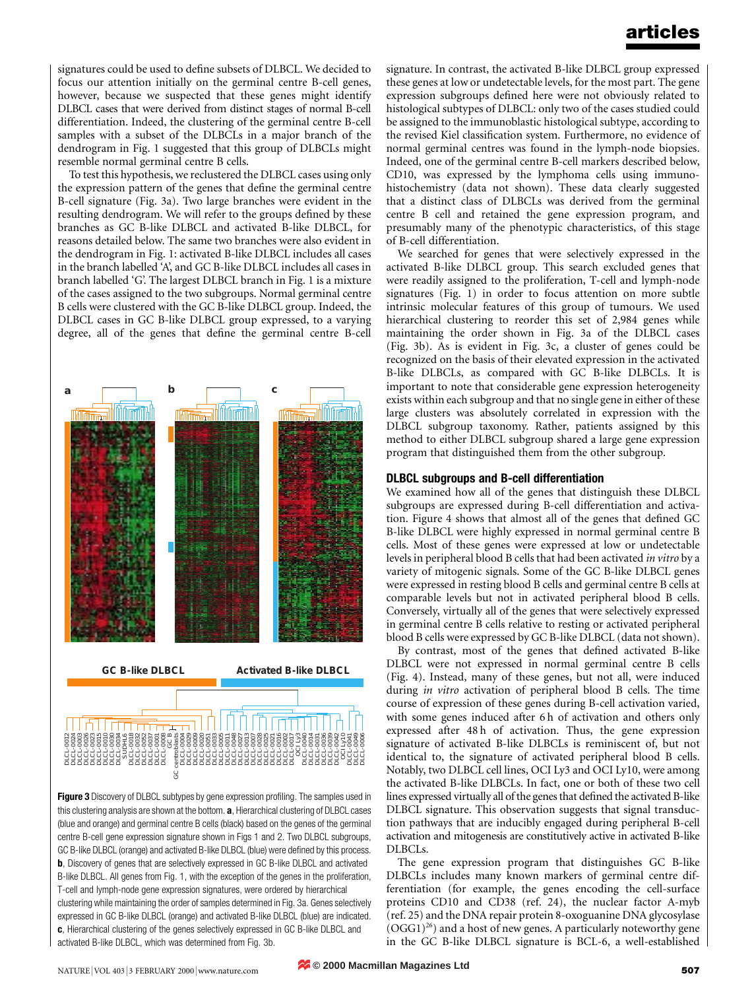signatures could be used to define subsets of DLBCL. We decided to focus our attention initially on the germinal centre B-cell genes, however, because we suspected that these genes might identify DLBCL cases that were derived from distinct stages of normal B-cell differentiation. Indeed, the clustering of the germinal centre B-cell samples with a subset of the DLBCLs in a major branch of the dendrogram in Fig. 1 suggested that this group of DLBCLs might resemble normal germinal centre B cells.

To test this hypothesis, we reclustered the DLBCL cases using only the expression pattern of the genes that define the germinal centre B-cell signature (Fig. 3a). Two large branches were evident in the resulting dendrogram. We will refer to the groups defined by these branches as GC B-like DLBCL and activated B-like DLBCL, for reasons detailed below. The same two branches were also evident in the dendrogram in Fig. 1: activated B-like DLBCL includes all cases in the branch labelled `A', and GC B-like DLBCL includes all cases in branch labelled `G'. The largest DLBCL branch in Fig. 1 is a mixture of the cases assigned to the two subgroups. Normal germinal centre B cells were clustered with the GC B-like DLBCL group. Indeed, the DLBCL cases in GC B-like DLBCL group expressed, to a varying degree, all of the genes that define the germinal centre B-cell



Figure 3 Discovery of DLBCL subtypes by gene expression profiling. The samples used in this clustering analysis are shown at the bottom. a, Hierarchical clustering of DLBCL cases (blue and orange) and germinal centre B cells (black) based on the genes of the germinal centre B-cell gene expression signature shown in Figs 1 and 2. Two DLBCL subgroups, GC B-like DLBCL (orange) and activated B-like DLBCL (blue) were defined by this process. b, Discovery of genes that are selectively expressed in GC B-like DLBCL and activated B-like DLBCL. All genes from Fig. 1, with the exception of the genes in the proliferation, T-cell and lymph-node gene expression signatures, were ordered by hierarchical clustering while maintaining the order of samples determined in Fig. 3a. Genes selectively expressed in GC B-like DLBCL (orange) and activated B-like DLBCL (blue) are indicated. c, Hierarchical clustering of the genes selectively expressed in GC B-like DLBCL and activated B-like DLBCL, which was determined from Fig. 3b.

signature. In contrast, the activated B-like DLBCL group expressed these genes at low or undetectable levels, for the most part. The gene expression subgroups defined here were not obviously related to histological subtypes of DLBCL: only two of the cases studied could be assigned to the immunoblastic histological subtype, according to the revised Kiel classification system. Furthermore, no evidence of normal germinal centres was found in the lymph-node biopsies. Indeed, one of the germinal centre B-cell markers described below, CD10, was expressed by the lymphoma cells using immunohistochemistry (data not shown). These data clearly suggested that a distinct class of DLBCLs was derived from the germinal centre B cell and retained the gene expression program, and presumably many of the phenotypic characteristics, of this stage of B-cell differentiation.

We searched for genes that were selectively expressed in the activated B-like DLBCL group. This search excluded genes that were readily assigned to the proliferation, T-cell and lymph-node signatures (Fig. 1) in order to focus attention on more subtle intrinsic molecular features of this group of tumours. We used hierarchical clustering to reorder this set of 2,984 genes while maintaining the order shown in Fig. 3a of the DLBCL cases (Fig. 3b). As is evident in Fig. 3c, a cluster of genes could be recognized on the basis of their elevated expression in the activated B-like DLBCLs, as compared with GC B-like DLBCLs. It is important to note that considerable gene expression heterogeneity exists within each subgroup and that no single gene in either of these large clusters was absolutely correlated in expression with the DLBCL subgroup taxonomy. Rather, patients assigned by this method to either DLBCL subgroup shared a large gene expression program that distinguished them from the other subgroup.

#### DLBCL subgroups and B-cell differentiation

We examined how all of the genes that distinguish these DLBCL subgroups are expressed during B-cell differentiation and activation. Figure 4 shows that almost all of the genes that defined GC B-like DLBCL were highly expressed in normal germinal centre B cells. Most of these genes were expressed at low or undetectable levels in peripheral blood B cells that had been activated in vitro by a variety of mitogenic signals. Some of the GC B-like DLBCL genes were expressed in resting blood B cells and germinal centre B cells at comparable levels but not in activated peripheral blood B cells. Conversely, virtually all of the genes that were selectively expressed in germinal centre B cells relative to resting or activated peripheral blood B cells were expressed by GC B-like DLBCL (data not shown).

By contrast, most of the genes that defined activated B-like DLBCL were not expressed in normal germinal centre B cells (Fig. 4). Instead, many of these genes, but not all, were induced during in vitro activation of peripheral blood B cells. The time course of expression of these genes during B-cell activation varied, with some genes induced after 6 h of activation and others only expressed after 48 h of activation. Thus, the gene expression signature of activated B-like DLBCLs is reminiscent of, but not identical to, the signature of activated peripheral blood B cells. Notably, two DLBCL cell lines, OCI Ly3 and OCI Ly10, were among the activated B-like DLBCLs. In fact, one or both of these two cell lines expressed virtually all of the genes that defined the activated B-like DLBCL signature. This observation suggests that signal transduction pathways that are inducibly engaged during peripheral B-cell activation and mitogenesis are constitutively active in activated B-like DLBCLs.

The gene expression program that distinguishes GC B-like DLBCLs includes many known markers of germinal centre differentiation (for example, the genes encoding the cell-surface proteins CD10 and CD38 (ref. 24), the nuclear factor A-myb (ref. 25) and the DNA repair protein 8-oxoguanine DNA glycosylase  $(OGG1)^{26}$ ) and a host of new genes. A particularly noteworthy gene in the GC B-like DLBCL signature is BCL-6, a well-established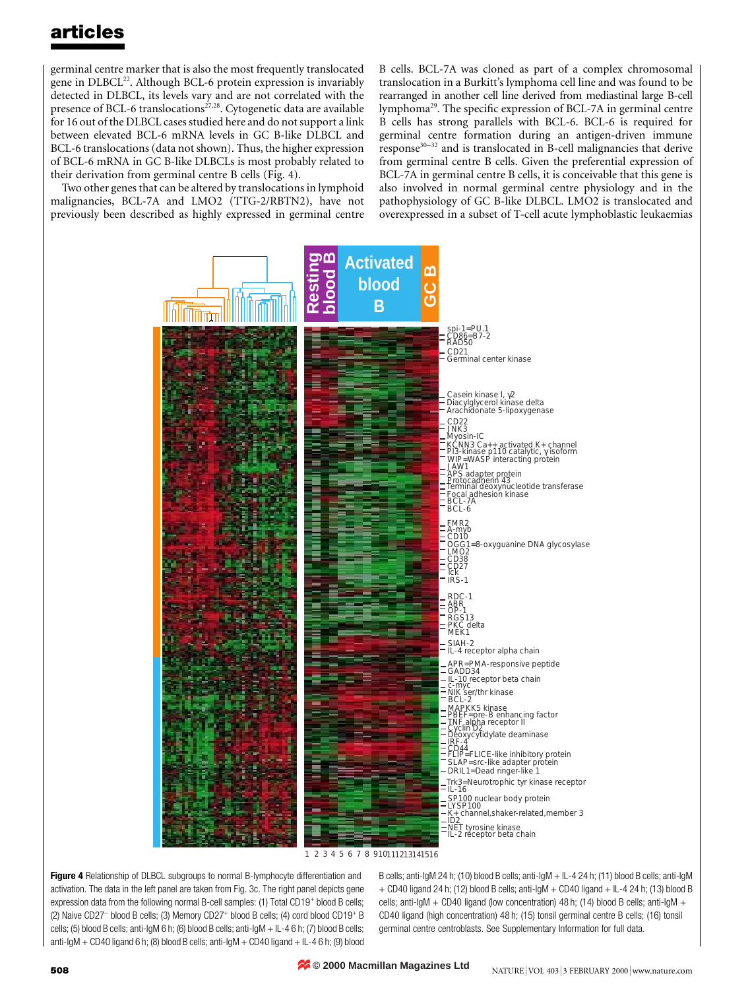germinal centre marker that is also the most frequently translocated gene in DLBCL<sup>22</sup>. Although BCL-6 protein expression is invariably detected in DLBCL, its levels vary and are not correlated with the presence of BCL-6 translocations<sup> $27,28$ </sup>. Cytogenetic data are available for 16 out of the DLBCL cases studied here and do not support a link between elevated BCL-6 mRNA levels in GC B-like DLBCL and BCL-6 translocations (data not shown). Thus, the higher expression of BCL-6 mRNA in GC B-like DLBCLs is most probably related to their derivation from germinal centre B cells (Fig. 4).

Two other genes that can be altered by translocations in lymphoid malignancies, BCL-7A and LMO2 (TTG-2/RBTN2), have not previously been described as highly expressed in germinal centre B cells. BCL-7A was cloned as part of a complex chromosomal translocation in a Burkitt's lymphoma cell line and was found to be rearranged in another cell line derived from mediastinal large B-cell lymphoma<sup>29</sup>. The specific expression of BCL-7A in germinal centre B cells has strong parallels with BCL-6. BCL-6 is required for germinal centre formation during an antigen-driven immune  $response<sup>30-32</sup>$  and is translocated in B-cell malignancies that derive from germinal centre B cells. Given the preferential expression of BCL-7A in germinal centre B cells, it is conceivable that this gene is also involved in normal germinal centre physiology and in the pathophysiology of GC B-like DLBCL. LMO2 is translocated and overexpressed in a subset of T-cell acute lymphoblastic leukaemias



1 2 3 4 5 6 7 8 910111213141516

Figure 4 Relationship of DLBCL subgroups to normal B-lymphocyte differentiation and activation. The data in the left panel are taken from Fig. 3c. The right panel depicts gene expression data from the following normal B-cell samples: (1) Total CD19<sup>+</sup> blood B cells; (2) Naive CD27- blood B cells; (3) Memory CD27+ blood B cells; (4) cord blood CD19+ B cells; (5) blood B cells; anti-IgM 6 h; (6) blood B cells; anti-IgM + IL-4 6 h; (7) blood B cells; anti-IgM + CD40 ligand 6 h; (8) blood B cells; anti-IgM + CD40 ligand + IL-4 6 h; (9) blood

B cells; anti-IgM 24 h; (10) blood B cells; anti-IgM + IL-4 24 h; (11) blood B cells; anti-IgM + CD40 ligand 24 h; (12) blood B cells; anti-IgM + CD40 ligand + IL-4 24 h; (13) blood B cells; anti-IgM + CD40 ligand (low concentration) 48 h; (14) blood B cells; anti-IgM + CD40 ligand (high concentration) 48 h; (15) tonsil germinal centre B cells; (16) tonsil germinal centre centroblasts. See Supplementary Information for full data.

**© 2000 Macmillan Magazines Ltd**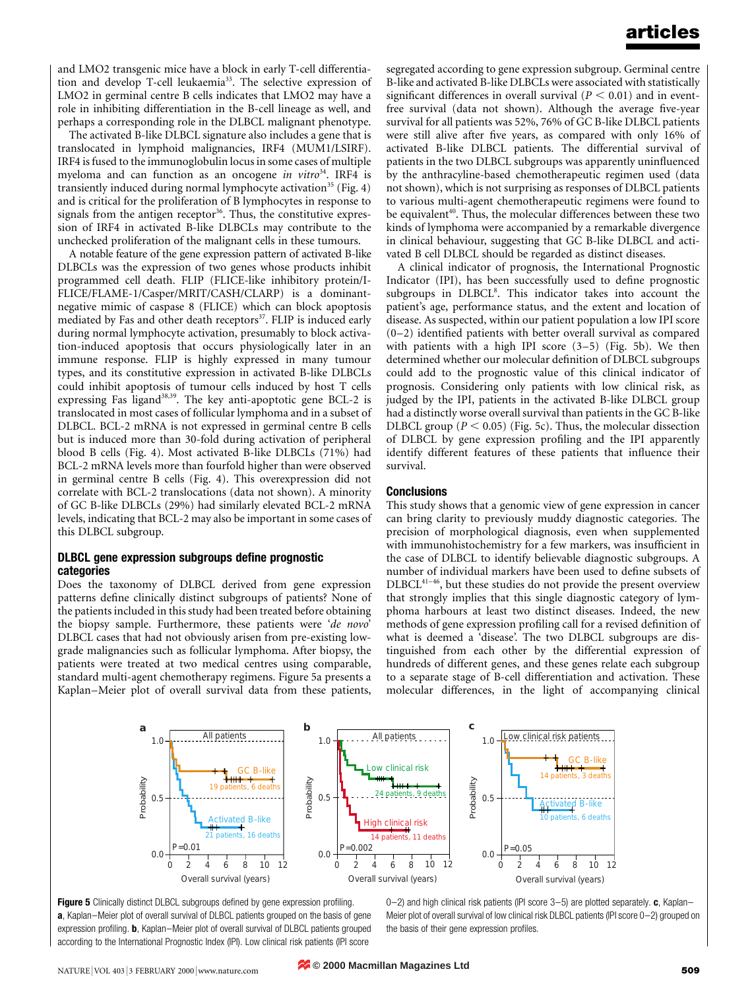and LMO2 transgenic mice have a block in early T-cell differentiation and develop T-cell leukaemia<sup>33</sup>. The selective expression of LMO2 in germinal centre B cells indicates that LMO2 may have a role in inhibiting differentiation in the B-cell lineage as well, and perhaps a corresponding role in the DLBCL malignant phenotype.

The activated B-like DLBCL signature also includes a gene that is translocated in lymphoid malignancies, IRF4 (MUM1/LSIRF). IRF4 is fused to the immunoglobulin locus in some cases of multiple myeloma and can function as an oncogene *in vitro*<sup>34</sup>. IRF4 is transiently induced during normal lymphocyte activation<sup>35</sup> (Fig. 4) and is critical for the proliferation of B lymphocytes in response to signals from the antigen receptor<sup>36</sup>. Thus, the constitutive expression of IRF4 in activated B-like DLBCLs may contribute to the unchecked proliferation of the malignant cells in these tumours.

A notable feature of the gene expression pattern of activated B-like DLBCLs was the expression of two genes whose products inhibit programmed cell death. FLIP (FLICE-like inhibitory protein/I-FLICE/FLAME-1/Casper/MRIT/CASH/CLARP) is a dominantnegative mimic of caspase 8 (FLICE) which can block apoptosis mediated by Fas and other death receptors<sup>37</sup>. FLIP is induced early during normal lymphocyte activation, presumably to block activation-induced apoptosis that occurs physiologically later in an immune response. FLIP is highly expressed in many tumour types, and its constitutive expression in activated B-like DLBCLs could inhibit apoptosis of tumour cells induced by host T cells expressing Fas ligand<sup>38,39</sup>. The key anti-apoptotic gene BCL-2 is translocated in most cases of follicular lymphoma and in a subset of DLBCL. BCL-2 mRNA is not expressed in germinal centre B cells but is induced more than 30-fold during activation of peripheral blood B cells (Fig. 4). Most activated B-like DLBCLs (71%) had BCL-2 mRNA levels more than fourfold higher than were observed in germinal centre B cells (Fig. 4). This overexpression did not correlate with BCL-2 translocations (data not shown). A minority of GC B-like DLBCLs (29%) had similarly elevated BCL-2 mRNA levels, indicating that BCL-2 may also be important in some cases of this DLBCL subgroup.

#### DLBCL gene expression subgroups define prognostic categories

Does the taxonomy of DLBCL derived from gene expression patterns define clinically distinct subgroups of patients? None of the patients included in this study had been treated before obtaining the biopsy sample. Furthermore, these patients were `de novo' DLBCL cases that had not obviously arisen from pre-existing lowgrade malignancies such as follicular lymphoma. After biopsy, the patients were treated at two medical centres using comparable, standard multi-agent chemotherapy regimens. Figure 5a presents a Kaplan-Meier plot of overall survival data from these patients,

segregated according to gene expression subgroup. Germinal centre B-like and activated B-like DLBCLs were associated with statistically significant differences in overall survival ( $P < 0.01$ ) and in eventfree survival (data not shown). Although the average five-year survival for all patients was 52%, 76% of GC B-like DLBCL patients were still alive after five years, as compared with only 16% of activated B-like DLBCL patients. The differential survival of patients in the two DLBCL subgroups was apparently uninfluenced by the anthracyline-based chemotherapeutic regimen used (data not shown), which is not surprising as responses of DLBCL patients to various multi-agent chemotherapeutic regimens were found to be equivalent<sup>40</sup>. Thus, the molecular differences between these two kinds of lymphoma were accompanied by a remarkable divergence in clinical behaviour, suggesting that GC B-like DLBCL and activated B cell DLBCL should be regarded as distinct diseases.

A clinical indicator of prognosis, the International Prognostic Indicator (IPI), has been successfully used to define prognostic subgroups in DLBCL<sup>8</sup>. This indicator takes into account the patient's age, performance status, and the extent and location of disease. As suspected, within our patient population a low IPI score  $(0-2)$  identified patients with better overall survival as compared with patients with a high IPI score  $(3-5)$  (Fig. 5b). We then determined whether our molecular definition of DLBCL subgroups could add to the prognostic value of this clinical indicator of prognosis. Considering only patients with low clinical risk, as judged by the IPI, patients in the activated B-like DLBCL group had a distinctly worse overall survival than patients in the GC B-like DLBCL group ( $P < 0.05$ ) (Fig. 5c). Thus, the molecular dissection of DLBCL by gene expression profiling and the IPI apparently identify different features of these patients that influence their survival.

#### Conclusions

This study shows that a genomic view of gene expression in cancer can bring clarity to previously muddy diagnostic categories. The precision of morphological diagnosis, even when supplemented with immunohistochemistry for a few markers, was insufficient in the case of DLBCL to identify believable diagnostic subgroups. A number of individual markers have been used to define subsets of DLBCL<sup>41-46</sup>, but these studies do not provide the present overview that strongly implies that this single diagnostic category of lymphoma harbours at least two distinct diseases. Indeed, the new methods of gene expression profiling call for a revised definition of what is deemed a 'disease'. The two DLBCL subgroups are distinguished from each other by the differential expression of hundreds of different genes, and these genes relate each subgroup to a separate stage of B-cell differentiation and activation. These molecular differences, in the light of accompanying clinical





0 $-2$ ) and high clinical risk patients (IPI score 3 $-5$ ) are plotted separately. c, Kaplan-Meier plot of overall survival of low clinical risk DLBCL patients (IPI score  $0-2$ ) grouped on the basis of their gene expression profiles.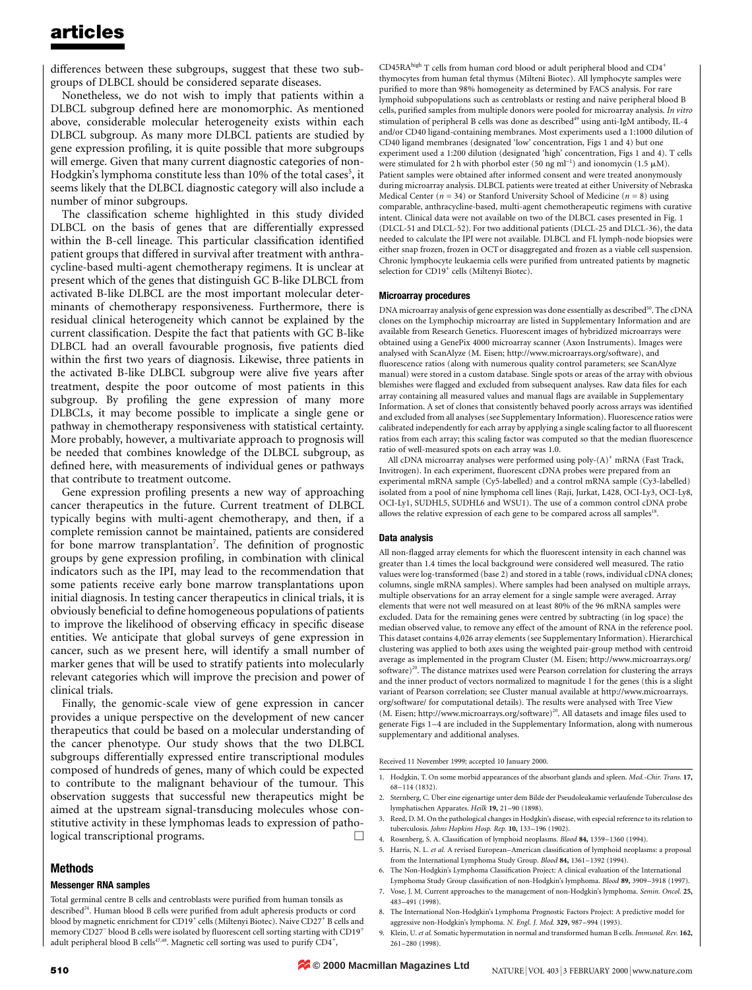differences between these subgroups, suggest that these two subgroups of DLBCL should be considered separate diseases.

Nonetheless, we do not wish to imply that patients within a DLBCL subgroup defined here are monomorphic. As mentioned above, considerable molecular heterogeneity exists within each DLBCL subgroup. As many more DLBCL patients are studied by gene expression profiling, it is quite possible that more subgroups will emerge. Given that many current diagnostic categories of non-Hodgkin's lymphoma constitute less than 10% of the total cases<sup>5</sup>, it seems likely that the DLBCL diagnostic category will also include a number of minor subgroups.

The classification scheme highlighted in this study divided DLBCL on the basis of genes that are differentially expressed within the B-cell lineage. This particular classification identified patient groups that differed in survival after treatment with anthracycline-based multi-agent chemotherapy regimens. It is unclear at present which of the genes that distinguish GC B-like DLBCL from activated B-like DLBCL are the most important molecular determinants of chemotherapy responsiveness. Furthermore, there is residual clinical heterogeneity which cannot be explained by the current classification. Despite the fact that patients with GC B-like DLBCL had an overall favourable prognosis, five patients died within the first two years of diagnosis. Likewise, three patients in the activated B-like DLBCL subgroup were alive five years after treatment, despite the poor outcome of most patients in this subgroup. By profiling the gene expression of many more DLBCLs, it may become possible to implicate a single gene or pathway in chemotherapy responsiveness with statistical certainty. More probably, however, a multivariate approach to prognosis will be needed that combines knowledge of the DLBCL subgroup, as defined here, with measurements of individual genes or pathways that contribute to treatment outcome.

Gene expression profiling presents a new way of approaching cancer therapeutics in the future. Current treatment of DLBCL typically begins with multi-agent chemotherapy, and then, if a complete remission cannot be maintained, patients are considered for bone marrow transplantation<sup>7</sup>. The definition of prognostic groups by gene expression profiling, in combination with clinical indicators such as the IPI, may lead to the recommendation that some patients receive early bone marrow transplantations upon initial diagnosis. In testing cancer therapeutics in clinical trials, it is obviously beneficial to define homogeneous populations of patients to improve the likelihood of observing efficacy in specific disease entities. We anticipate that global surveys of gene expression in cancer, such as we present here, will identify a small number of marker genes that will be used to stratify patients into molecularly relevant categories which will improve the precision and power of clinical trials.

Finally, the genomic-scale view of gene expression in cancer provides a unique perspective on the development of new cancer therapeutics that could be based on a molecular understanding of the cancer phenotype. Our study shows that the two DLBCL subgroups differentially expressed entire transcriptional modules composed of hundreds of genes, many of which could be expected to contribute to the malignant behaviour of the tumour. This observation suggests that successful new therapeutics might be aimed at the upstream signal-transducing molecules whose constitutive activity in these lymphomas leads to expression of pathological transcriptional programs.

### Methods

#### Messenger RNA samples

Total germinal centre B cells and centroblasts were purified from human tonsils as described<sup>24</sup>. Human blood B cells were purified from adult apheresis products or cord blood by magnetic enrichment for CD19<sup>+</sup> cells (Miltenyi Biotec). Naive CD27<sup>+</sup> B cells and memory CD27 $^{-}$  blood B cells were isolated by fluorescent cell sorting starting with CD19 $^{+}$ adult peripheral blood B cells<sup>47,48</sup>. Magnetic cell sorting was used to purify CD4<sup>+</sup>,

 $\rm CD45RA^{high}$  T cells from human cord blood or adult peripheral blood and  $\rm CD4^{+}$ thymocytes from human fetal thymus (Milteni Biotec). All lymphocyte samples were purified to more than 98% homogeneity as determined by FACS analysis. For rare lymphoid subpopulations such as centroblasts or resting and naive peripheral blood B cells, purified samples from multiple donors were pooled for microarray analysis. In vitro stimulation of peripheral B cells was done as described<sup>49</sup> using anti-IgM antibody, IL-4 and/or CD40 ligand-containing membranes. Most experiments used a 1:1000 dilution of CD40 ligand membranes (designated 'low' concentration, Figs 1 and 4) but one experiment used a 1:200 dilution (designated `high' concentration, Figs 1 and 4). T cells were stimulated for 2 h with phorbol ester (50 ng ml<sup>-1</sup>) and ionomycin (1.5  $\mu$ M). Patient samples were obtained after informed consent and were treated anonymously during microarray analysis. DLBCL patients were treated at either University of Nebraska Medical Center ( $n = 34$ ) or Stanford University School of Medicine ( $n = 8$ ) using comparable, anthracycline-based, multi-agent chemotherapeutic regimens with curative intent. Clinical data were not available on two of the DLBCL cases presented in Fig. 1 (DLCL-51 and DLCL-52). For two additional patients (DLCL-25 and DLCL-36), the data needed to calculate the IPI were not available. DLBCL and FL lymph-node biopsies were either snap frozen, frozen in OCT or disaggregated and frozen as a viable cell suspension. Chronic lymphocyte leukaemia cells were purified from untreated patients by magnetic selection for CD19<sup>+</sup> cells (Miltenyi Biotec).

#### Microarray procedures

DNA microarray analysis of gene expression was done essentially as described<sup>50</sup>. The cDNA clones on the Lymphochip microarray are listed in Supplementary Information and are available from Research Genetics. Fluorescent images of hybridized microarrays were obtained using a GenePix 4000 microarray scanner (Axon Instruments). Images were analysed with ScanAlyze (M. Eisen; http://www.microarrays.org/software), and fluorescence ratios (along with numerous quality control parameters; see ScanAlyze manual) were stored in a custom database. Single spots or areas of the array with obvious blemishes were flagged and excluded from subsequent analyses. Raw data files for each array containing all measured values and manual flags are available in Supplementary Information. A set of clones that consistently behaved poorly across arrays was identified and excluded from all analyses (see Supplementary Information). Fluorescence ratios were calibrated independently for each array by applying a single scaling factor to all fluorescent ratios from each array; this scaling factor was computed so that the median fluorescence ratio of well-measured spots on each array was 1.0.

All cDNA microarray analyses were performed using poly- $(A)^+$  mRNA (Fast Track, Invitrogen). In each experiment, fluorescent cDNA probes were prepared from an experimental mRNA sample (Cy5-labelled) and a control mRNA sample (Cy3-labelled) isolated from a pool of nine lymphoma cell lines (Raji, Jurkat, L428, OCI-Ly3, OCI-Ly8, OCI-Ly1, SUDHL5, SUDHL6 and WSU1). The use of a common control cDNA probe allows the relative expression of each gene to be compared across all samples<sup>18</sup>.

#### Data analysis

All non-flagged array elements for which the fluorescent intensity in each channel was greater than 1.4 times the local background were considered well measured. The ratio values were log-transformed (base 2) and stored in a table (rows, individual cDNA clones; columns, single mRNA samples). Where samples had been analysed on multiple arrays, multiple observations for an array element for a single sample were averaged. Array elements that were not well measured on at least 80% of the 96 mRNA samples were excluded. Data for the remaining genes were centred by subtracting (in log space) the median observed value, to remove any effect of the amount of RNA in the reference pool. This dataset contains 4,026 array elements (see Supplementary Information). Hierarchical clustering was applied to both axes using the weighted pair-group method with centroid average as implemented in the program Cluster (M. Eisen; http://www.microarrays.org/ software)<sup>20</sup>. The distance matrixes used were Pearson correlation for clustering the arrays and the inner product of vectors normalized to magnitude 1 for the genes (this is a slight variant of Pearson correlation; see Cluster manual available at http://www.microarrays. org/software/ for computational details). The results were analysed with Tree View  $(M. Eisen; http://www.microarrays.org/software)^{20}$ . All datasets and image files used to generate Figs 1-4 are included in the Supplementary Information, along with numerous supplementary and additional analyses.

Received 11 November 1999; accepted 10 January 2000.

- 1. Hodgkin, T. On some morbid appearances of the absorbant glands and spleen. Med.-Chir. Trans. 17, 68±114 (1832).
- 2. Sternberg, C. Über eine eigenartige unter dem Bilde der Pseudoleukamie verlaufende Tuberculose des lymphatischen Apparates. Heilk 19, 21-90 (1898).
- 3. Reed, D. M. On the pathological changes in Hodgkin's disease, with especial reference to its relation to tuberculosis. Johns Hopkins Hosp. Rep. 10, 133-196 (1902).
- 4. Rosenberg, S. A. Classification of lymphoid neoplasms. Blood 84, 1359-1360 (1994).
- 5. Harris, N. L. et al. A revised European-American classification of lymphoid neoplasms: a proposal from the International Lymphoma Study Group. Blood 84, 1361-1392 (1994).
- 6. The Non-Hodgkin's Lymphoma Classification Project: A clinical evaluation of the International Lymphoma Study Group classification of non-Hodgkin's lymphoma. Blood 89, 3909-3918 (1997).
- 7. Vose, J. M. Current approaches to the management of non-Hodgkin's lymphoma. Semin. Oncol. 25, 483±491 (1998).
- 8. The International Non-Hodgkin's Lymphoma Prognostic Factors Project: A predictive model for aggressive non-Hodgkin's lymphoma. N. Engl. J. Med. 329, 987-994 (1993).
- 9. Klein, U. et al. Somatic hypermutation in normal and transformed human B cells. Immunol. Rev. 162, 261±280 (1998).